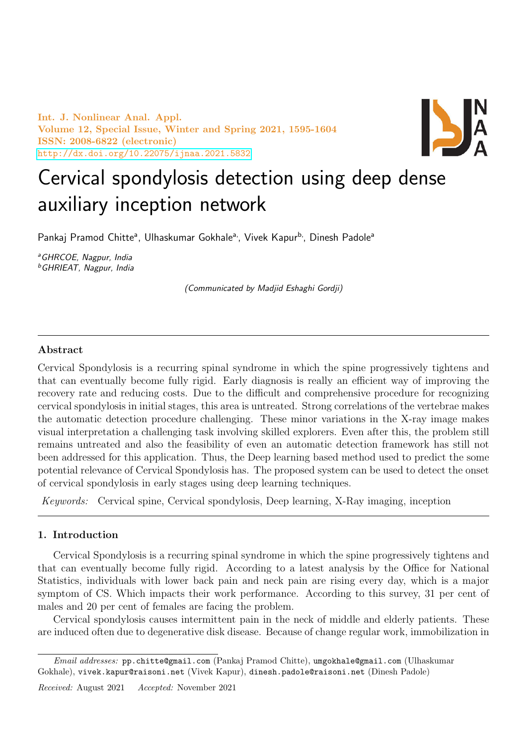Int. J. Nonlinear Anal. Appl. Volume 12, Special Issue, Winter and Spring 2021, 1595-1604 ISSN: 2008-6822 (electronic) <http://dx.doi.org/10.22075/ijnaa.2021.5832>



# Cervical spondylosis detection using deep dense auxiliary inception network

Pankaj Pramod Chitte<sup>a</sup>, Ulhaskumar Gokhale<sup>a,</sup>, Vivek Kapur<sup>b,</sup>, Dinesh Padole<sup>a</sup>

<sup>a</sup>GHRCOE, Nagpur, India <sup>b</sup>GHRIEAT, Nagpur, India

(Communicated by Madjid Eshaghi Gordji)

#### Abstract

Cervical Spondylosis is a recurring spinal syndrome in which the spine progressively tightens and that can eventually become fully rigid. Early diagnosis is really an efficient way of improving the recovery rate and reducing costs. Due to the difficult and comprehensive procedure for recognizing cervical spondylosis in initial stages, this area is untreated. Strong correlations of the vertebrae makes the automatic detection procedure challenging. These minor variations in the X-ray image makes visual interpretation a challenging task involving skilled explorers. Even after this, the problem still remains untreated and also the feasibility of even an automatic detection framework has still not been addressed for this application. Thus, the Deep learning based method used to predict the some potential relevance of Cervical Spondylosis has. The proposed system can be used to detect the onset of cervical spondylosis in early stages using deep learning techniques.

Keywords: Cervical spine, Cervical spondylosis, Deep learning, X-Ray imaging, inception

## 1. Introduction

Cervical Spondylosis is a recurring spinal syndrome in which the spine progressively tightens and that can eventually become fully rigid. According to a latest analysis by the Office for National Statistics, individuals with lower back pain and neck pain are rising every day, which is a major symptom of CS. Which impacts their work performance. According to this survey, 31 per cent of males and 20 per cent of females are facing the problem.

Cervical spondylosis causes intermittent pain in the neck of middle and elderly patients. These are induced often due to degenerative disk disease. Because of change regular work, immobilization in

Email addresses: pp.chitte@gmail.com (Pankaj Pramod Chitte), umgokhale@gmail.com (Ulhaskumar Gokhale), vivek.kapur@raisoni.net (Vivek Kapur), dinesh.padole@raisoni.net (Dinesh Padole)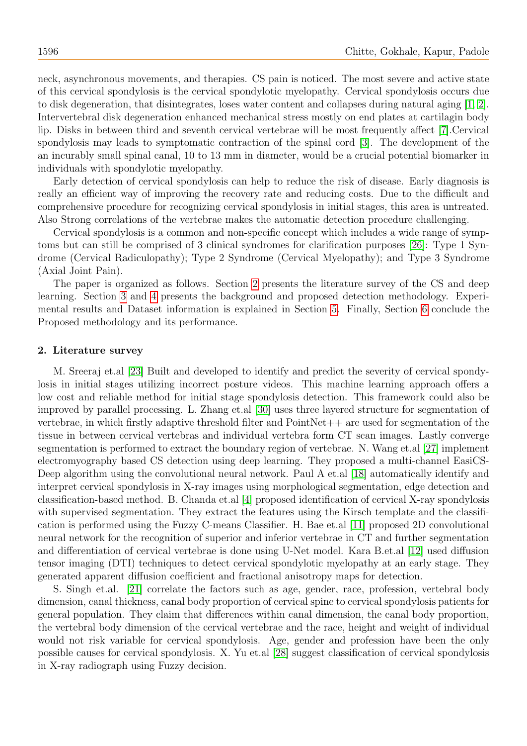neck, asynchronous movements, and therapies. CS pain is noticed. The most severe and active state of this cervical spondylosis is the cervical spondylotic myelopathy. Cervical spondylosis occurs due to disk degeneration, that disintegrates, loses water content and collapses during natural aging [\[1,](#page-7-0) [2\]](#page-8-0). Intervertebral disk degeneration enhanced mechanical stress mostly on end plates at cartilagin body lip. Disks in between third and seventh cervical vertebrae will be most frequently affect [\[7\]](#page-8-1).Cervical spondylosis may leads to symptomatic contraction of the spinal cord [\[3\]](#page-8-2). The development of the an incurably small spinal canal, 10 to 13 mm in diameter, would be a crucial potential biomarker in individuals with spondylotic myelopathy.

Early detection of cervical spondylosis can help to reduce the risk of disease. Early diagnosis is really an efficient way of improving the recovery rate and reducing costs. Due to the difficult and comprehensive procedure for recognizing cervical spondylosis in initial stages, this area is untreated. Also Strong correlations of the vertebrae makes the automatic detection procedure challenging.

Cervical spondylosis is a common and non-specific concept which includes a wide range of symptoms but can still be comprised of 3 clinical syndromes for clarification purposes [\[26\]](#page-9-0): Type 1 Syndrome (Cervical Radiculopathy); Type 2 Syndrome (Cervical Myelopathy); and Type 3 Syndrome (Axial Joint Pain).

The paper is organized as follows. Section [2](#page-1-0) presents the literature survey of the CS and deep learning. Section [3](#page-2-0) and [4](#page-2-1) presents the background and proposed detection methodology. Experimental results and Dataset information is explained in Section [5.](#page-5-0) Finally, Section [6](#page-6-0) conclude the Proposed methodology and its performance.

#### <span id="page-1-0"></span>2. Literature survey

M. Sreeraj et.al [\[23\]](#page-8-3) Built and developed to identify and predict the severity of cervical spondylosis in initial stages utilizing incorrect posture videos. This machine learning approach offers a low cost and reliable method for initial stage spondylosis detection. This framework could also be improved by parallel processing. L. Zhang et.al [\[30\]](#page-9-1) uses three layered structure for segmentation of vertebrae, in which firstly adaptive threshold filter and  $PointNet++$  are used for segmentation of the tissue in between cervical vertebras and individual vertebra form CT scan images. Lastly converge segmentation is performed to extract the boundary region of vertebrae. N. Wang et.al [\[27\]](#page-9-2) implement electromyography based CS detection using deep learning. They proposed a multi-channel EasiCS-Deep algorithm using the convolutional neural network. Paul A et.al [\[18\]](#page-8-4) automatically identify and interpret cervical spondylosis in X-ray images using morphological segmentation, edge detection and classification-based method. B. Chanda et.al [\[4\]](#page-8-5) proposed identification of cervical X-ray spondylosis with supervised segmentation. They extract the features using the Kirsch template and the classification is performed using the Fuzzy C-means Classifier. H. Bae et.al [\[11\]](#page-8-6) proposed 2D convolutional neural network for the recognition of superior and inferior vertebrae in CT and further segmentation and differentiation of cervical vertebrae is done using U-Net model. Kara B.et.al [\[12\]](#page-8-7) used diffusion tensor imaging (DTI) techniques to detect cervical spondylotic myelopathy at an early stage. They generated apparent diffusion coefficient and fractional anisotropy maps for detection.

S. Singh et.al. [\[21\]](#page-8-8) correlate the factors such as age, gender, race, profession, vertebral body dimension, canal thickness, canal body proportion of cervical spine to cervical spondylosis patients for general population. They claim that differences within canal dimension, the canal body proportion, the vertebral body dimension of the cervical vertebrae and the race, height and weight of individual would not risk variable for cervical spondylosis. Age, gender and profession have been the only possible causes for cervical spondylosis. X. Yu et.al [\[28\]](#page-9-3) suggest classification of cervical spondylosis in X-ray radiograph using Fuzzy decision.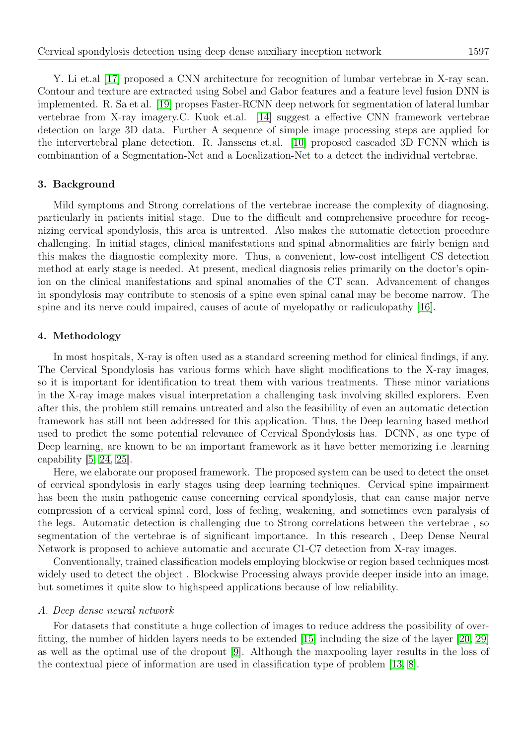Y. Li et.al [\[17\]](#page-8-9) proposed a CNN architecture for recognition of lumbar vertebrae in X-ray scan. Contour and texture are extracted using Sobel and Gabor features and a feature level fusion DNN is implemented. R. Sa et al. [\[19\]](#page-8-10) propses Faster-RCNN deep network for segmentation of lateral lumbar vertebrae from X-ray imagery.C. Kuok et.al. [\[14\]](#page-8-11) suggest a effective CNN framework vertebrae detection on large 3D data. Further A sequence of simple image processing steps are applied for the intervertebral plane detection. R. Janssens et.al. [\[10\]](#page-8-12) proposed cascaded 3D FCNN which is combinantion of a Segmentation-Net and a Localization-Net to a detect the individual vertebrae.

## <span id="page-2-0"></span>3. Background

Mild symptoms and Strong correlations of the vertebrae increase the complexity of diagnosing, particularly in patients initial stage. Due to the difficult and comprehensive procedure for recognizing cervical spondylosis, this area is untreated. Also makes the automatic detection procedure challenging. In initial stages, clinical manifestations and spinal abnormalities are fairly benign and this makes the diagnostic complexity more. Thus, a convenient, low-cost intelligent CS detection method at early stage is needed. At present, medical diagnosis relies primarily on the doctor's opinion on the clinical manifestations and spinal anomalies of the CT scan. Advancement of changes in spondylosis may contribute to stenosis of a spine even spinal canal may be become narrow. The spine and its nerve could impaired, causes of acute of myelopathy or radiculopathy [\[16\]](#page-8-13).

## <span id="page-2-1"></span>4. Methodology

In most hospitals, X-ray is often used as a standard screening method for clinical findings, if any. The Cervical Spondylosis has various forms which have slight modifications to the X-ray images, so it is important for identification to treat them with various treatments. These minor variations in the X-ray image makes visual interpretation a challenging task involving skilled explorers. Even after this, the problem still remains untreated and also the feasibility of even an automatic detection framework has still not been addressed for this application. Thus, the Deep learning based method used to predict the some potential relevance of Cervical Spondylosis has. DCNN, as one type of Deep learning, are known to be an important framework as it have better memorizing i.e .learning capability  $[5, 24, 25]$  $[5, 24, 25]$  $[5, 24, 25]$ .

Here, we elaborate our proposed framework. The proposed system can be used to detect the onset of cervical spondylosis in early stages using deep learning techniques. Cervical spine impairment has been the main pathogenic cause concerning cervical spondylosis, that can cause major nerve compression of a cervical spinal cord, loss of feeling, weakening, and sometimes even paralysis of the legs. Automatic detection is challenging due to Strong correlations between the vertebrae , so segmentation of the vertebrae is of significant importance. In this research , Deep Dense Neural Network is proposed to achieve automatic and accurate C1-C7 detection from X-ray images.

Conventionally, trained classification models employing blockwise or region based techniques most widely used to detect the object . Blockwise Processing always provide deeper inside into an image, but sometimes it quite slow to highspeed applications because of low reliability.

## A. Deep dense neural network

For datasets that constitute a huge collection of images to reduce address the possibility of overfitting, the number of hidden layers needs to be extended [\[15\]](#page-8-17) including the size of the layer [\[20,](#page-8-18) [29\]](#page-9-4) as well as the optimal use of the dropout [\[9\]](#page-8-19). Although the maxpooling layer results in the loss of the contextual piece of information are used in classification type of problem [\[13,](#page-8-20) [8\]](#page-8-21).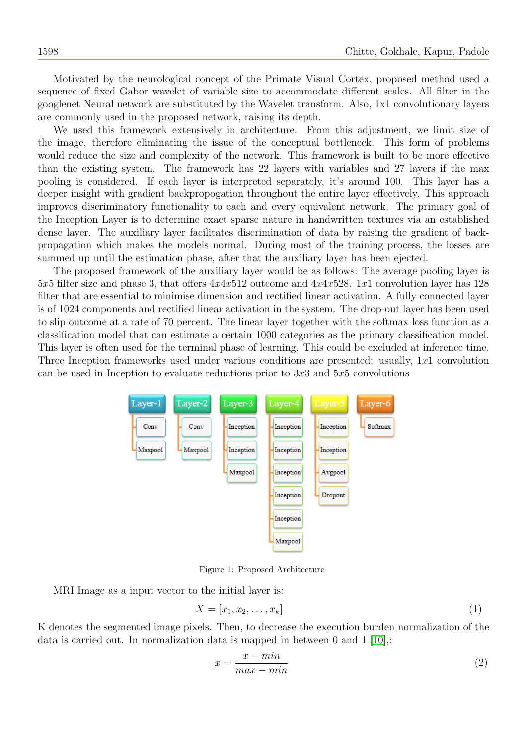Motivated by the neurological concept of the Primate Visual Cortex, proposed method used a sequence of fixed Gabor wavelet of variable size to accommodate different scales. All filter in the googlenet Neural network are substituted by the Wavelet transform. Also, 1x1 convolutionary layers are commonly used in the proposed network, raising its depth.

We used this framework extensively in architecture. From this adjustment, we limit size of the image, therefore eliminating the issue of the conceptual bottleneck. This form of problems would reduce the size and complexity of the network. This framework is built to be more effective than the existing system. The framework has 22 layers with variables and 27 layers if the max pooling is considered. If each layer is interpreted separately, it's around 100. This layer has a deeper insight with gradient backpropogation throughout the entire layer effectively. This approach improves discriminatory functionality to each and every equivalent network. The primary goal of the Inception Layer is to determine exact sparse nature in handwritten textures via an established dense layer. The auxiliary layer facilitates discrimination of data by raising the gradient of backpropagation which makes the models normal. During most of the training process, the losses are summed up until the estimation phase, after that the auxiliary layer has been ejected.

The proposed framework of the auxiliary layer would be as follows: The average pooling layer is 5x5 filter size and phase 3, that offers  $4x4x512$  outcome and  $4x4x528$ . 1x1 convolution layer has 128 filter that are essential to minimise dimension and rectified linear activation. A fully connected layer is of 1024 components and rectified linear activation in the system. The drop-out layer has been used to slip outcome at a rate of 70 percent. The linear layer together with the softmax loss function as a classification model that can estimate a certain 1000 categories as the primary classification model. This layer is often used for the terminal phase of learning. This could be excluded at inference time. Three Inception frameworks used under various conditions are presented: usually, 1x1 convolution can be used in Inception to evaluate reductions prior to  $3x3$  and  $5x5$  convolutions



Figure 1: Proposed Architecture

MRI Image as a input vector to the initial layer is:

$$
X = [x_1, x_2, \dots, x_k]
$$
\n<sup>(1)</sup>

K denotes the segmented image pixels. Then, to decrease the execution burden normalization of the data is carried out. In normalization data is mapped in between 0 and 1 [\[10\]](#page-8-12),:

$$
x = \frac{x - \min}{\max - \min} \tag{2}
$$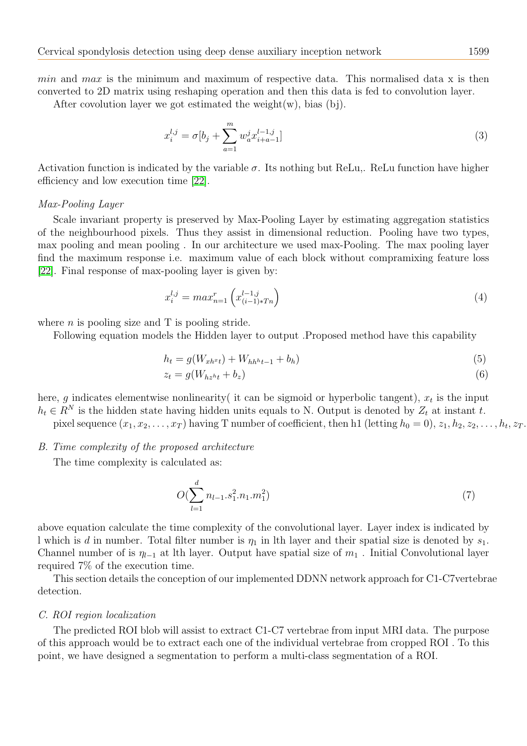min and max is the minimum and maximum of respective data. This normalised data x is then converted to 2D matrix using reshaping operation and then this data is fed to convolution layer.

After covolution layer we got estimated the weight $(w)$ , bias  $(b<sub>i</sub>)$ .

$$
x_i^{l,j} = \sigma[b_j + \sum_{a=1}^m w_a^j x_{i+a-1}^{l-1,j}]
$$
\n(3)

Activation function is indicated by the variable  $\sigma$ . Its nothing but ReLu,. ReLu function have higher efficiency and low execution time [\[22\]](#page-8-22).

#### Max-Pooling Layer

Scale invariant property is preserved by Max-Pooling Layer by estimating aggregation statistics of the neighbourhood pixels. Thus they assist in dimensional reduction. Pooling have two types, max pooling and mean pooling . In our architecture we used max-Pooling. The max pooling layer find the maximum response i.e. maximum value of each block without compramixing feature loss [\[22\]](#page-8-22). Final response of max-pooling layer is given by:

$$
x_i^{l,j} = max_{n=1}^r \left( x_{(i-1)*T_n}^{l-1,j} \right) \tag{4}
$$

where  $n$  is pooling size and  $T$  is pooling stride.

Following equation models the Hidden layer to output .Proposed method have this capability

$$
h_t = g(W_{xh^{x}t}) + W_{hh^{h}t-1} + b_h)
$$
\n(5)

$$
z_t = g(W_{hz^ht} + b_z) \tag{6}
$$

here, g indicates elementwise nonlinearity it can be sigmoid or hyperbolic tangent),  $x_t$  is the input  $h_t \in R^N$  is the hidden state having hidden units equals to N. Output is denoted by  $Z_t$  at instant t. pixel sequence  $(x_1, x_2, \ldots, x_T)$  having T number of coefficient, then h1 (letting  $h_0 = 0$ ),  $z_1, h_2, z_2, \ldots, h_t, z_T$ .

#### B. Time complexity of the proposed architecture

The time complexity is calculated as:

$$
O(\sum_{l=1}^{d} n_{l-1}.s_1^2.n_1.m_1^2)
$$
\n
$$
(7)
$$

above equation calculate the time complexity of the convolutional layer. Layer index is indicated by l which is d in number. Total filter number is  $\eta_1$  in lth layer and their spatial size is denoted by  $s_1$ . Channel number of is  $\eta_{l-1}$  at lth layer. Output have spatial size of  $m_1$ . Initial Convolutional layer required 7% of the execution time.

This section details the conception of our implemented DDNN network approach for C1-C7vertebrae detection.

#### C. ROI region localization

The predicted ROI blob will assist to extract C1-C7 vertebrae from input MRI data. The purpose of this approach would be to extract each one of the individual vertebrae from cropped ROI . To this point, we have designed a segmentation to perform a multi-class segmentation of a ROI.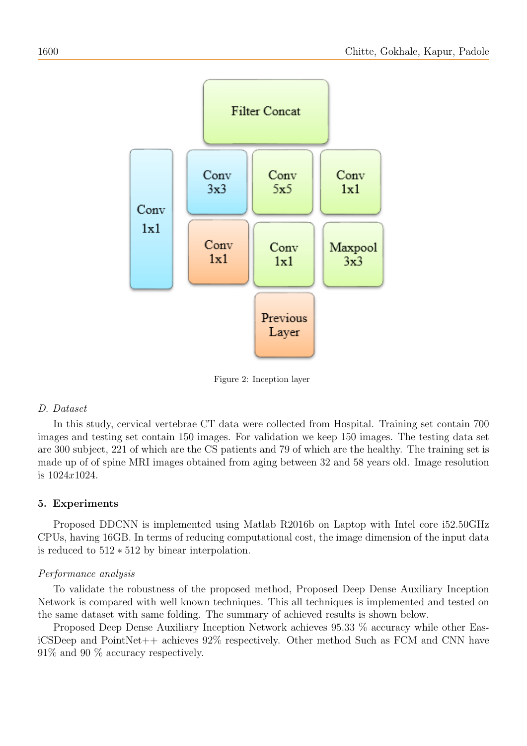

Figure 2: Inception layer

## D. Dataset

In this study, cervical vertebrae CT data were collected from Hospital. Training set contain 700 images and testing set contain 150 images. For validation we keep 150 images. The testing data set are 300 subject, 221 of which are the CS patients and 79 of which are the healthy. The training set is made up of of spine MRI images obtained from aging between 32 and 58 years old. Image resolution is 1024x1024.

# <span id="page-5-0"></span>5. Experiments

Proposed DDCNN is implemented using Matlab R2016b on Laptop with Intel core i52.50GHz CPUs, having 16GB. In terms of reducing computational cost, the image dimension of the input data is reduced to 512 ∗ 512 by binear interpolation.

# Performance analysis

To validate the robustness of the proposed method, Proposed Deep Dense Auxiliary Inception Network is compared with well known techniques. This all techniques is implemented and tested on the same dataset with same folding. The summary of achieved results is shown below.

Proposed Deep Dense Auxiliary Inception Network achieves 95.33 % accuracy while other EasiCSDeep and PointNet++ achieves 92% respectively. Other method Such as FCM and CNN have 91% and 90 % accuracy respectively.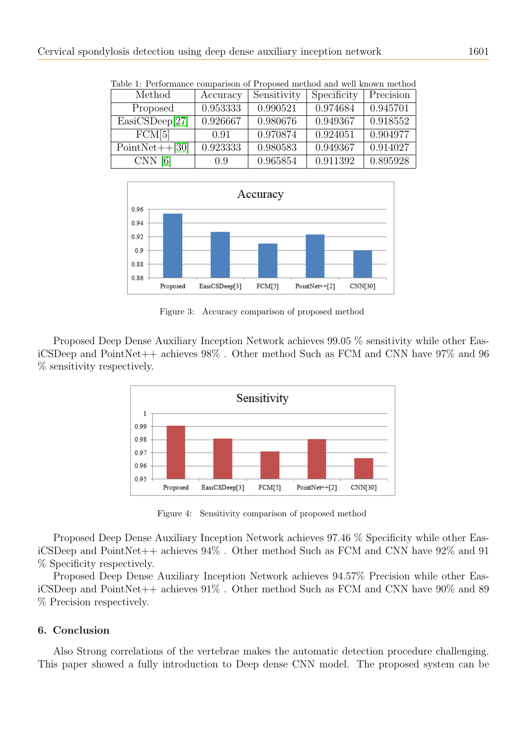| Table 1: Performance comparison of Proposed method and well known method |          |             |             |           |
|--------------------------------------------------------------------------|----------|-------------|-------------|-----------|
| Method                                                                   | Accuracy | Sensitivity | Specificity | Precision |
| Proposed                                                                 | 0.953333 | 0.990521    | 0.974684    | 0.945701  |
| EasiCSDeep[27]                                                           | 0.926667 | 0.980676    | 0.949367    | 0.918552  |
| FCM[5]                                                                   | 0.91     | 0.970874    | 0.924051    | 0.904977  |
| $PointNet++[30]$                                                         | 0.923333 | 0.980583    | 0.949367    | 0.914027  |
| CNN <sub>6</sub>                                                         | (0.9)    | 0.965854    | 0.911392    | 0.895928  |

Table 1: Performance comparison of Proposed method and well known method



Figure 3: Accuracy comparison of proposed method

Proposed Deep Dense Auxiliary Inception Network achieves 99.05 % sensitivity while other EasiCSDeep and PointNet++ achieves 98% . Other method Such as FCM and CNN have 97% and 96 % sensitivity respectively.



Figure 4: Sensitivity comparison of proposed method

Proposed Deep Dense Auxiliary Inception Network achieves 97.46 % Specificity while other EasiCSDeep and PointNet++ achieves 94% . Other method Such as FCM and CNN have 92% and 91 % Specificity respectively.

Proposed Deep Dense Auxiliary Inception Network achieves 94.57% Precision while other EasiCSDeep and PointNet++ achieves  $91\%$ . Other method Such as FCM and CNN have  $90\%$  and  $89$ % Precision respectively.

## <span id="page-6-0"></span>6. Conclusion

Also Strong correlations of the vertebrae makes the automatic detection procedure challenging. This paper showed a fully introduction to Deep dense CNN model. The proposed system can be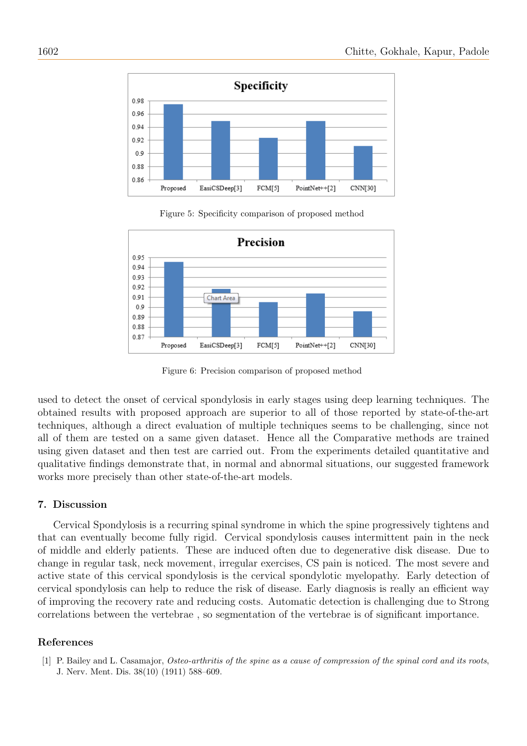

Figure 5: Specificity comparison of proposed method



Figure 6: Precision comparison of proposed method

used to detect the onset of cervical spondylosis in early stages using deep learning techniques. The obtained results with proposed approach are superior to all of those reported by state-of-the-art techniques, although a direct evaluation of multiple techniques seems to be challenging, since not all of them are tested on a same given dataset. Hence all the Comparative methods are trained using given dataset and then test are carried out. From the experiments detailed quantitative and qualitative findings demonstrate that, in normal and abnormal situations, our suggested framework works more precisely than other state-of-the-art models.

## 7. Discussion

Cervical Spondylosis is a recurring spinal syndrome in which the spine progressively tightens and that can eventually become fully rigid. Cervical spondylosis causes intermittent pain in the neck of middle and elderly patients. These are induced often due to degenerative disk disease. Due to change in regular task, neck movement, irregular exercises, CS pain is noticed. The most severe and active state of this cervical spondylosis is the cervical spondylotic myelopathy. Early detection of cervical spondylosis can help to reduce the risk of disease. Early diagnosis is really an efficient way of improving the recovery rate and reducing costs. Automatic detection is challenging due to Strong correlations between the vertebrae , so segmentation of the vertebrae is of significant importance.

## References

<span id="page-7-0"></span>[1] P. Bailey and L. Casamajor, Osteo-arthritis of the spine as a cause of compression of the spinal cord and its roots, J. Nerv. Ment. Dis. 38(10) (1911) 588–609.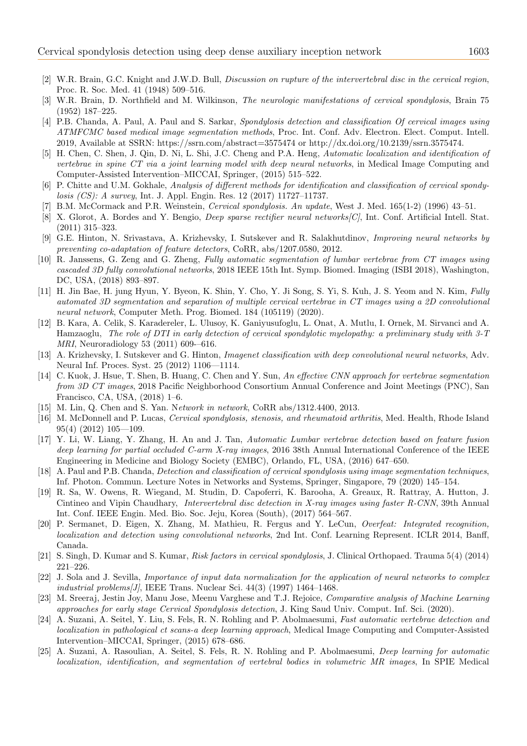- <span id="page-8-0"></span>[2] W.R. Brain, G.C. Knight and J.W.D. Bull, Discussion on rupture of the intervertebral disc in the cervical region, Proc. R. Soc. Med. 41 (1948) 509–516.
- <span id="page-8-2"></span>[3] W.R. Brain, D. Northfield and M. Wilkinson, The neurologic manifestations of cervical spondylosis, Brain 75 (1952) 187–225.
- <span id="page-8-5"></span>[4] P.B. Chanda, A. Paul, A. Paul and S. Sarkar, Spondylosis detection and classification Of cervical images using ATMFCMC based medical image segmentation methods, Proc. Int. Conf. Adv. Electron. Elect. Comput. Intell. 2019, Available at SSRN: https://ssrn.com/abstract=3575474 or http://dx.doi.org/10.2139/ssrn.3575474.
- <span id="page-8-14"></span>[5] H. Chen, C. Shen, J. Qin, D. Ni, L. Shi, J.C. Cheng and P.A. Heng, Automatic localization and identification of vertebrae in spine CT via a joint learning model with deep neural networks, in Medical Image Computing and Computer-Assisted Intervention–MICCAI, Springer, (2015) 515–522.
- <span id="page-8-23"></span>[6] P. Chitte and U.M. Gokhale, Analysis of different methods for identification and classification of cervical spondylosis (CS): A survey, Int. J. Appl. Engin. Res. 12 (2017) 11727–11737.
- <span id="page-8-1"></span>[7] B.M. McCormack and P.R. Weinstein, Cervical spondylosis. An update, West J. Med. 165(1-2) (1996) 43–51.
- <span id="page-8-21"></span>[8] X. Glorot, A. Bordes and Y. Bengio, *Deep sparse rectifier neural networks[C]*, Int. Conf. Artificial Intell. Stat. (2011) 315–323.
- <span id="page-8-19"></span>[9] G.E. Hinton, N. Srivastava, A. Krizhevsky, I. Sutskever and R. Salakhutdinov, Improving neural networks by preventing co-adaptation of feature detectors, CoRR, abs/1207.0580, 2012.
- <span id="page-8-12"></span>[10] R. Janssens, G. Zeng and G. Zheng, Fully automatic segmentation of lumbar vertebrae from CT images using cascaded 3D fully convolutional networks, 2018 IEEE 15th Int. Symp. Biomed. Imaging (ISBI 2018), Washington, DC, USA, (2018) 893–897.
- <span id="page-8-6"></span>[11] H. Jin Bae, H. jung Hyun, Y. Byeon, K. Shin, Y. Cho, Y. Ji Song, S. Yi, S. Kuh, J. S. Yeom and N. Kim, Fully automated 3D segmentation and separation of multiple cervical vertebrae in CT images using a 2D convolutional neural network, Computer Meth. Prog. Biomed. 184 (105119) (2020).
- <span id="page-8-7"></span>[12] B. Kara, A. Celik, S. Karadereler, L. Ulusoy, K. Ganiyusufoglu, L. Onat, A. Mutlu, I. Ornek, M. Sirvanci and A. Hamzaoglu, The role of DTI in early detection of cervical spondylotic myelopathy: a preliminary study with 3-T MRI, Neuroradiology 53 (2011) 609-–616.
- <span id="page-8-20"></span>[13] A. Krizhevsky, I. Sutskever and G. Hinton, Imagenet classification with deep convolutional neural networks, Adv. Neural Inf. Proces. Syst. 25 (2012) 1106—1114.
- <span id="page-8-11"></span>[14] C. Kuok, J. Hsue, T. Shen, B. Huang, C. Chen and Y. Sun, An effective CNN approach for vertebrae segmentation from 3D CT images, 2018 Pacific Neighborhood Consortium Annual Conference and Joint Meetings (PNC), San Francisco, CA, USA, (2018) 1–6.
- <span id="page-8-17"></span>[15] M. Lin, Q. Chen and S. Yan. Network in network, CoRR abs/1312.4400, 2013.
- <span id="page-8-13"></span>[16] M. McDonnell and P. Lucas, Cervical spondylosis, stenosis, and rheumatoid arthritis, Med. Health, Rhode Island 95(4) (2012) 105—109.
- <span id="page-8-9"></span>[17] Y. Li, W. Liang, Y. Zhang, H. An and J. Tan, Automatic Lumbar vertebrae detection based on feature fusion deep learning for partial occluded C-arm X-ray images, 2016 38th Annual International Conference of the IEEE Engineering in Medicine and Biology Society (EMBC), Orlando, FL, USA, (2016) 647–650.
- <span id="page-8-4"></span>[18] A. Paul and P.B. Chanda, Detection and classification of cervical spondylosis using image segmentation techniques, Inf. Photon. Commun. Lecture Notes in Networks and Systems, Springer, Singapore, 79 (2020) 145–154.
- <span id="page-8-10"></span>[19] R. Sa, W. Owens, R. Wiegand, M. Studin, D. Capoferri, K. Barooha, A. Greaux, R. Rattray, A. Hutton, J. Cintineo and Vipin Chaudhary, *Intervertebral disc detection in X-ray images using faster R-CNN*, 39th Annual Int. Conf. IEEE Engin. Med. Bio. Soc. Jeju, Korea (South), (2017) 564–567.
- <span id="page-8-18"></span>[20] P. Sermanet, D. Eigen, X. Zhang, M. Mathieu, R. Fergus and Y. LeCun, Overfeat: Integrated recognition, localization and detection using convolutional networks, 2nd Int. Conf. Learning Represent. ICLR 2014, Banff, Canada.
- <span id="page-8-8"></span>[21] S. Singh, D. Kumar and S. Kumar, Risk factors in cervical spondylosis, J. Clinical Orthopaed. Trauma 5(4) (2014) 221–226.
- <span id="page-8-22"></span>[22] J. Sola and J. Sevilla, Importance of input data normalization for the application of neural networks to complex industrial problems  $[J]$ , IEEE Trans. Nuclear Sci. 44(3) (1997) 1464–1468.
- <span id="page-8-3"></span>[23] M. Sreeraj, Jestin Joy, Manu Jose, Meenu Varghese and T.J. Rejoice, Comparative analysis of Machine Learning approaches for early stage Cervical Spondylosis detection, J. King Saud Univ. Comput. Inf. Sci. (2020).
- <span id="page-8-15"></span>[24] A. Suzani, A. Seitel, Y. Liu, S. Fels, R. N. Rohling and P. Abolmaesumi, Fast automatic vertebrae detection and localization in pathological ct scans-a deep learning approach, Medical Image Computing and Computer-Assisted Intervention–MICCAI, Springer, (2015) 678–686.
- <span id="page-8-16"></span>[25] A. Suzani, A. Rasoulian, A. Seitel, S. Fels, R. N. Rohling and P. Abolmaesumi, Deep learning for automatic localization, identification, and segmentation of vertebral bodies in volumetric MR images, In SPIE Medical